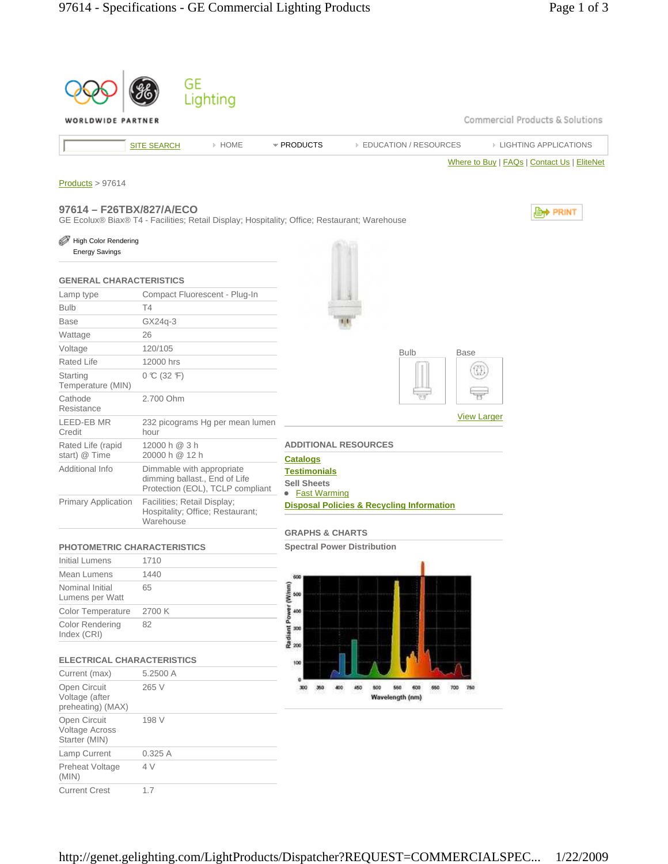|                                                        | GE<br>Lighting                                                                                 |                                                                                |
|--------------------------------------------------------|------------------------------------------------------------------------------------------------|--------------------------------------------------------------------------------|
| ORLDWIDE PARTNER                                       |                                                                                                | Commercial Products & Solutions                                                |
|                                                        | » HOME<br><b>SITE SEARCH</b>                                                                   | * PRODUCTS<br><b>EDUCATION / RESOURCES</b><br><b>EIGHTING APPLICATIONS</b>     |
|                                                        |                                                                                                | Where to Buy   FAQs   Contact Us   EliteNet                                    |
|                                                        |                                                                                                |                                                                                |
| Products > 97614                                       |                                                                                                |                                                                                |
| 97614 - F26TBX/827/A/ECO                               | GE Ecolux® Biax® T4 - Facilities; Retail Display; Hospitality; Office; Restaurant; Warehouse   | <b>⊜† PRINT</b>                                                                |
| High Color Rendering<br><b>Energy Savings</b>          |                                                                                                |                                                                                |
| <b>GENERAL CHARACTERISTICS</b>                         |                                                                                                |                                                                                |
| Lamp type                                              | Compact Fluorescent - Plug-In                                                                  |                                                                                |
| <b>Bulb</b>                                            | T4                                                                                             |                                                                                |
| <b>Base</b>                                            | GX24q-3                                                                                        |                                                                                |
| Wattage                                                | 26                                                                                             |                                                                                |
| Voltage                                                | 120/105                                                                                        | <b>Bulb</b><br><b>Base</b>                                                     |
| Rated Life                                             | 12000 hrs                                                                                      |                                                                                |
| Starting<br>Temperature (MIN)                          | $0 \text{ C} (32 \text{ F})$                                                                   |                                                                                |
| Cathode<br>Resistance                                  | 2.700 Ohm                                                                                      | <b>View Larger</b>                                                             |
| LEED-EB MR<br>Credit                                   | 232 picograms Hg per mean lumen<br>hour                                                        |                                                                                |
| Rated Life (rapid<br>start) @ Time                     | 12000 h @ 3 h<br>20000 h @ 12 h                                                                | <b>ADDITIONAL RESOURCES</b><br><b>Catalogs</b>                                 |
| Additional Info                                        | Dimmable with appropriate<br>dimming ballast., End of Life<br>Protection (EOL), TCLP compliant | <b>Testimonials</b><br><b>Sell Sheets</b><br>• Fast Warming                    |
| <b>Primary Application</b>                             | Facilities; Retail Display;<br>Hospitality; Office; Restaurant;<br>Warehouse                   | <b>Disposal Policies &amp; Recycling Information</b>                           |
|                                                        |                                                                                                | <b>GRAPHS &amp; CHARTS</b>                                                     |
| <b>PHOTOMETRIC CHARACTERISTICS</b>                     |                                                                                                | <b>Spectral Power Distribution</b>                                             |
| <b>Initial Lumens</b>                                  | 1710                                                                                           |                                                                                |
| Mean Lumens                                            | 1440                                                                                           | 600                                                                            |
| Nominal Initial<br>Lumens per Watt                     | 65                                                                                             |                                                                                |
| Color Temperature                                      | 2700 K                                                                                         |                                                                                |
| Color Rendering<br>Index (CRI)                         | 82                                                                                             | Radiant Power (Winm)<br>8 8 8 8                                                |
| <b>ELECTRICAL CHARACTERISTICS</b>                      |                                                                                                | 100                                                                            |
| Current (max)                                          | 5.2500 A                                                                                       | o                                                                              |
| Open Circuit<br>Voltage (after<br>preheating) (MAX)    | 265 V                                                                                          | 450<br>550<br>600<br>650<br>300<br>600<br>MO.<br>700<br>360<br>Wavelength (nm) |
| Open Circuit<br><b>Voltage Across</b><br>Starter (MIN) | 198 V                                                                                          |                                                                                |
| Lamp Current                                           | 0.325 A                                                                                        |                                                                                |
| Preheat Voltage<br>(MIN)                               | 4 V                                                                                            |                                                                                |
| <b>Current Crest</b>                                   | 1.7                                                                                            |                                                                                |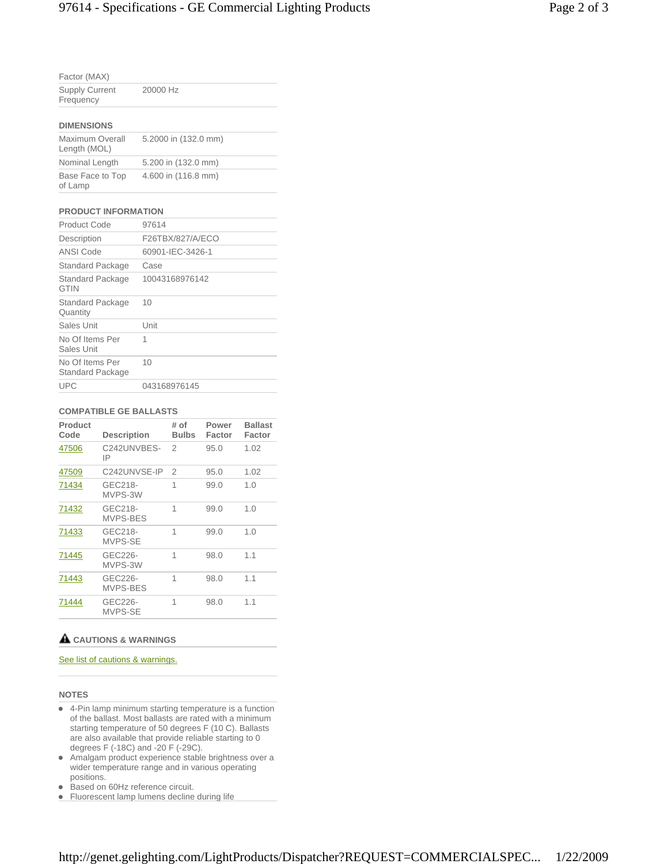| Factor (MAX)                       |          |  |  |  |  |
|------------------------------------|----------|--|--|--|--|
| <b>Supply Current</b><br>Frequency | 20000 Hz |  |  |  |  |
| <b>DIMENSIONS</b>                  |          |  |  |  |  |

| Maximum Overall<br>Length (MOL) | 5.2000 in (132.0 mm) |
|---------------------------------|----------------------|
| Nominal Length                  | 5.200 in (132.0 mm)  |
| Base Face to Top<br>of Lamp     | 4.600 in (116.8 mm)  |

### **PRODUCT INFORMATION**

| Product Code                        | 97614            |
|-------------------------------------|------------------|
| Description                         | F26TBX/827/A/ECO |
| ANSI Code                           | 60901-IEC-3426-1 |
| <b>Standard Package</b>             | Case             |
| Standard Package<br><b>GTIN</b>     | 10043168976142   |
| <b>Standard Package</b><br>Quantity | 10               |
| Sales Unit                          | Unit             |
| No Of Items Per<br>Sales Unit       | 1                |
| No Of Items Per<br>Standard Package | 10               |
| <b>UPC</b>                          | 043168976145     |

#### **COMPATIBLE GE BALLASTS**

| Product<br>Code | <b>Description</b>  | # of<br><b>Bulbs</b> | Power<br>Factor | <b>Ballast</b><br>Factor |
|-----------------|---------------------|----------------------|-----------------|--------------------------|
| 47506           | C242UNVBES-<br>IP   | 2                    | 95.0            | 1.02                     |
| 47509           | C242UNVSE-IP        | $\overline{2}$       | 95.0            | 1.02                     |
| 71434           | GEC218-<br>MVPS-3W  | 1                    | 99.0            | 1.0                      |
| 71432           | GEC218-<br>MVPS-BES | 1                    | 99.0            | 1.0                      |
| 71433           | GEC218-<br>MVPS-SE  | 1                    | 99.0            | 1.0                      |
| 71445           | GEC226-<br>MVPS-3W  | 1                    | 98.0            | 1.1                      |
| 71443           | GEC226-<br>MVPS-BES | 1                    | 98.0            | 1.1                      |
| 71444           | GEC226-<br>MVPS-SE  | 1                    | 98.0            | 1.1                      |

## **CAUTIONS & WARNINGS**

# See list of cautions & warnings.

#### **NOTES**

- 4-Pin lamp minimum starting temperature is a function of the ballast. Most ballasts are rated with a minimum starting temperature of 50 degrees F (10 C). Ballasts are also available that provide reliable starting to 0 degrees F (-18C) and -20 F (-29C).
- Amalgam product experience stable brightness over a wider temperature range and in various operating positions.
- Based on 60Hz reference circuit.
- **Fluorescent lamp lumens decline during life**